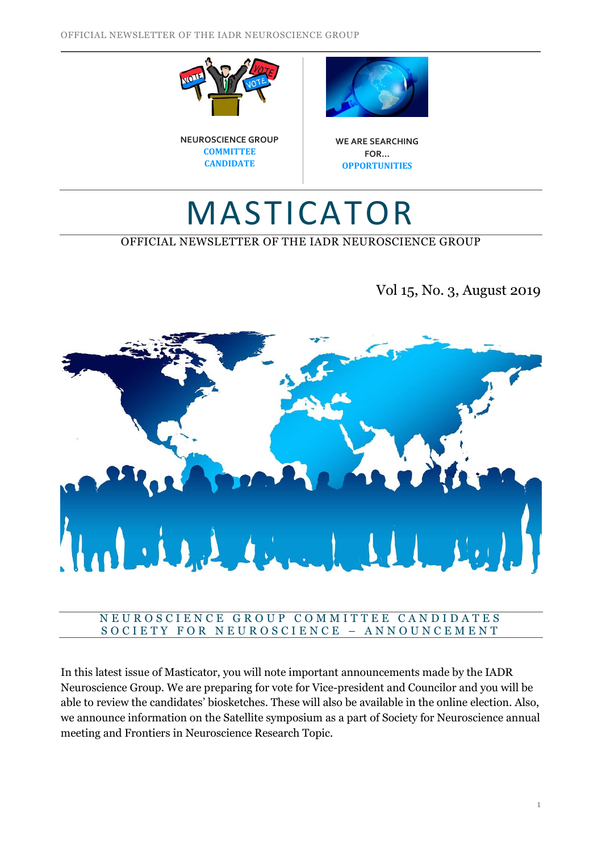





**WE ARE SEARCHING FOR… OPPORTUNITIES**

# MASTICATOR

# OFFICIAL NEWSLETTER OF THE IADR NEUROSCIENCE GROUP

Vol 15, No. 3, August 2019



#### N E U R O S C I E N C E G R O U P C O M M I T T E E C A N D I D A T E S SOCIETY FOR NEUROSCIENCE - ANNOUNCEMENT

In this latest issue of Masticator, you will note important announcements made by the IADR Neuroscience Group. We are preparing for vote for Vice-president and Councilor and you will be able to review the candidates' biosketches. These will also be available in the online election. Also, we announce information on the Satellite symposium as a part of Society for Neuroscience annual meeting and Frontiers in Neuroscience Research Topic.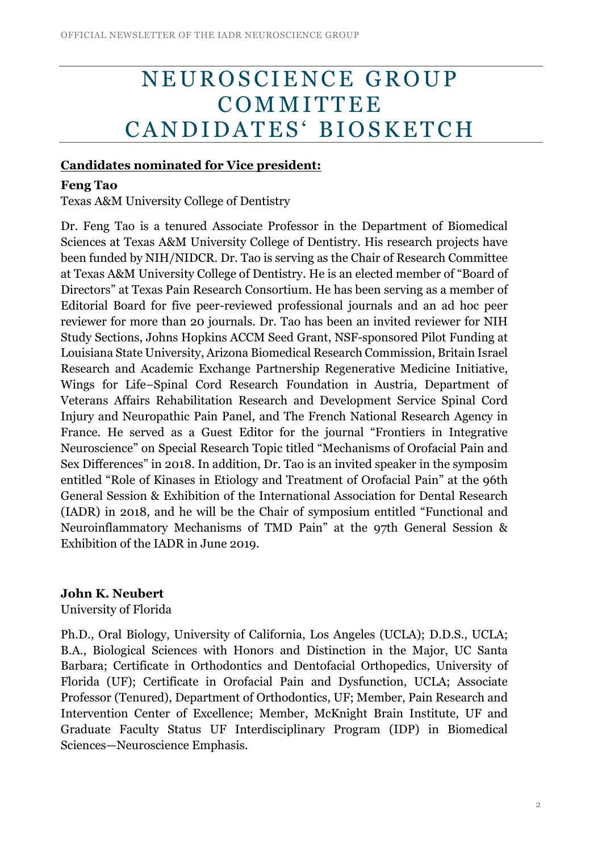# N E U ROSCIENCE GROUP **COMMITTEE** CANDIDATES' BIOSKETCH

#### **Candidates nominated for Vice president:**

### **Feng Tao**

Texas A&M University College of Dentistry

Dr. Feng Tao is a tenured Associate Professor in the Department of Biomedical Sciences at Texas A&M University College of Dentistry. His research projects have been funded by NIH/NIDCR. Dr. Tao is serving as the Chair of Research Committee at Texas A&M University College of Dentistry. He is an elected member of "Board of Directors" at Texas Pain Research Consortium. He has been serving as a member of Editorial Board for five peer-reviewed professional journals and an ad hoc peer reviewer for more than 20 journals. Dr. Tao has been an invited reviewer for NIH Study Sections, Johns Hopkins ACCM Seed Grant, NSF-sponsored Pilot Funding at Louisiana State University, Arizona Biomedical Research Commission, Britain Israel Research and Academic Exchange Partnership Regenerative Medicine Initiative, Wings for Life−Spinal Cord Research Foundation in Austria, Department of Veterans Affairs Rehabilitation Research and Development Service Spinal Cord Injury and Neuropathic Pain Panel, and The French National Research Agency in France. He served as a Guest Editor for the journal "Frontiers in Integrative Neuroscience" on Special Research Topic titled "Mechanisms of Orofacial Pain and Sex Differences" in 2018. In addition, Dr. Tao is an invited speaker in the symposim entitled "Role of Kinases in Etiology and Treatment of Orofacial Pain" at the 96th General Session & Exhibition of the International Association for Dental Research (IADR) in 2018, and he will be the Chair of symposium entitled "Functional and Neuroinflammatory Mechanisms of TMD Pain" at the 97th General Session & Exhibition of the IADR in June 2019.

## **John K. Neubert**

University of Florida

Ph.D., Oral Biology, University of California, Los Angeles (UCLA); D.D.S., UCLA; B.A., Biological Sciences with Honors and Distinction in the Major, UC Santa Barbara; Certificate in Orthodontics and Dentofacial Orthopedics, University of Florida (UF); Certificate in Orofacial Pain and Dysfunction, UCLA; Associate Professor (Tenured), Department of Orthodontics, UF; Member, Pain Research and Intervention Center of Excellence; Member, McKnight Brain Institute, UF and Graduate Faculty Status UF Interdisciplinary Program (IDP) in Biomedical Sciences—Neuroscience Emphasis.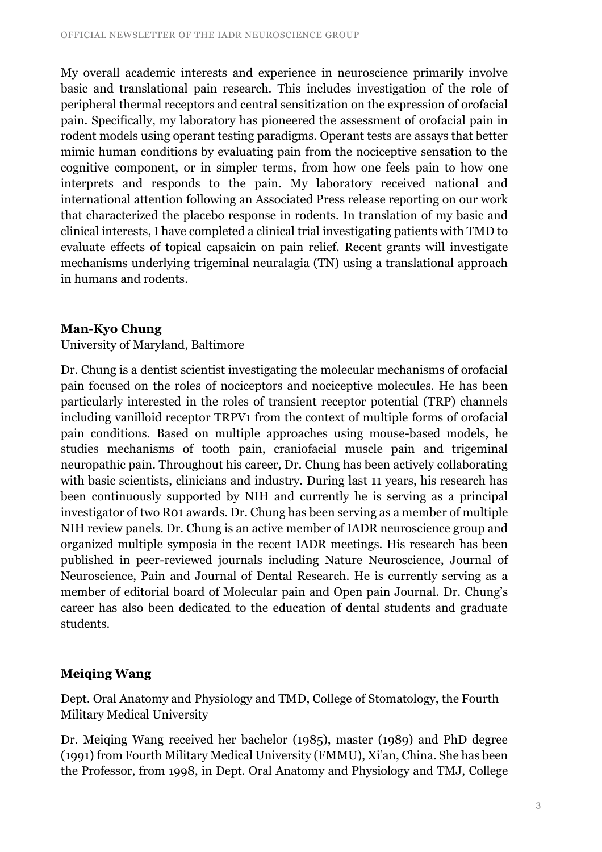My overall academic interests and experience in neuroscience primarily involve basic and translational pain research. This includes investigation of the role of peripheral thermal receptors and central sensitization on the expression of orofacial pain. Specifically, my laboratory has pioneered the assessment of orofacial pain in rodent models using operant testing paradigms. Operant tests are assays that better mimic human conditions by evaluating pain from the nociceptive sensation to the cognitive component, or in simpler terms, from how one feels pain to how one interprets and responds to the pain. My laboratory received national and international attention following an Associated Press release reporting on our work that characterized the placebo response in rodents. In translation of my basic and clinical interests, I have completed a clinical trial investigating patients with TMD to evaluate effects of topical capsaicin on pain relief. Recent grants will investigate mechanisms underlying trigeminal neuralagia (TN) using a translational approach in humans and rodents.

### **Man-Kyo Chung**

University of Maryland, Baltimore

Dr. Chung is a dentist scientist investigating the molecular mechanisms of orofacial pain focused on the roles of nociceptors and nociceptive molecules. He has been particularly interested in the roles of transient receptor potential (TRP) channels including vanilloid receptor TRPV1 from the context of multiple forms of orofacial pain conditions. Based on multiple approaches using mouse-based models, he studies mechanisms of tooth pain, craniofacial muscle pain and trigeminal neuropathic pain. Throughout his career, Dr. Chung has been actively collaborating with basic scientists, clinicians and industry. During last 11 years, his research has been continuously supported by NIH and currently he is serving as a principal investigator of two R01 awards. Dr. Chung has been serving as a member of multiple NIH review panels. Dr. Chung is an active member of IADR neuroscience group and organized multiple symposia in the recent IADR meetings. His research has been published in peer-reviewed journals including Nature Neuroscience, Journal of Neuroscience, Pain and Journal of Dental Research. He is currently serving as a member of editorial board of Molecular pain and Open pain Journal. Dr. Chung's career has also been dedicated to the education of dental students and graduate students.

# **Meiqing Wang**

Dept. Oral Anatomy and Physiology and TMD, College of Stomatology, the Fourth Military Medical University

Dr. Meiqing Wang received her bachelor (1985), master (1989) and PhD degree (1991) from Fourth Military Medical University (FMMU), Xi'an, China. She has been the Professor, from 1998, in Dept. Oral Anatomy and Physiology and TMJ, College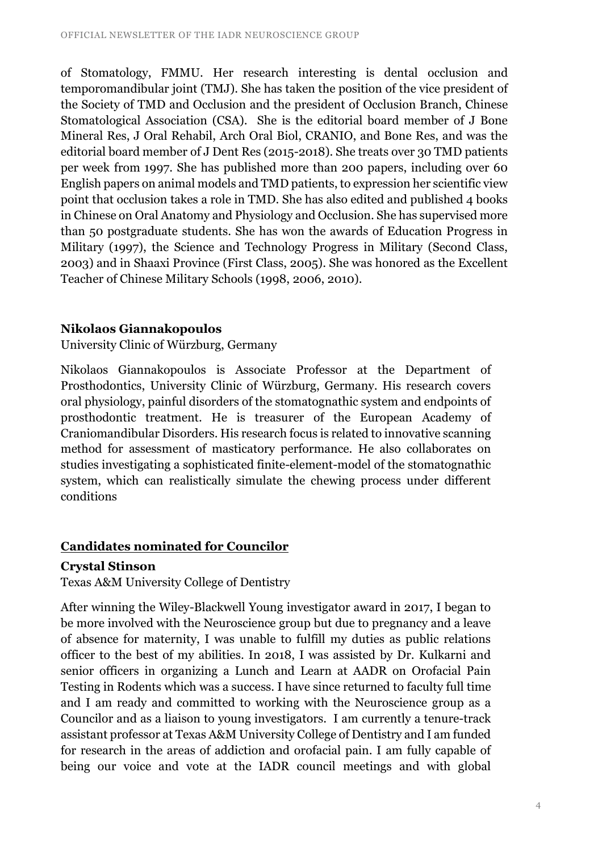of Stomatology, FMMU. Her research interesting is dental occlusion and temporomandibular joint (TMJ). She has taken the position of the vice president of the Society of TMD and Occlusion and the president of Occlusion Branch, Chinese Stomatological Association (CSA). She is the editorial board member of J Bone Mineral Res, J Oral Rehabil, Arch Oral Biol, CRANIO, and Bone Res, and was the editorial board member of J Dent Res (2015-2018). She treats over 30 TMD patients per week from 1997. She has published more than 200 papers, including over 60 English papers on animal models and TMD patients, to expression her scientific view point that occlusion takes a role in TMD. She has also edited and published 4 books in Chinese on Oral Anatomy and Physiology and Occlusion. She has supervised more than 50 postgraduate students. She has won the awards of Education Progress in Military (1997), the Science and Technology Progress in Military (Second Class, 2003) and in Shaaxi Province (First Class, 2005). She was honored as the Excellent Teacher of Chinese Military Schools (1998, 2006, 2010).

# **Nikolaos Giannakopoulos**

University Clinic of Würzburg, Germany

Nikolaos Giannakopoulos is Associate Professor at the Department of Prosthodontics, University Clinic of Würzburg, Germany. His research covers oral physiology, painful disorders of the stomatognathic system and endpoints of prosthodontic treatment. He is treasurer of the European Academy of Craniomandibular Disorders. His research focus is related to innovative scanning method for assessment of masticatory performance. He also collaborates on studies investigating a sophisticated finite-element-model of the stomatognathic system, which can realistically simulate the chewing process under different conditions

# **Candidates nominated for Councilor**

#### **Crystal Stinson**

Texas A&M University College of Dentistry

After winning the Wiley-Blackwell Young investigator award in 2017, I began to be more involved with the Neuroscience group but due to pregnancy and a leave of absence for maternity, I was unable to fulfill my duties as public relations officer to the best of my abilities. In 2018, I was assisted by Dr. Kulkarni and senior officers in organizing a Lunch and Learn at AADR on Orofacial Pain Testing in Rodents which was a success. I have since returned to faculty full time and I am ready and committed to working with the Neuroscience group as a Councilor and as a liaison to young investigators. I am currently a tenure-track assistant professor at Texas A&M University College of Dentistry and I am funded for research in the areas of addiction and orofacial pain. I am fully capable of being our voice and vote at the IADR council meetings and with global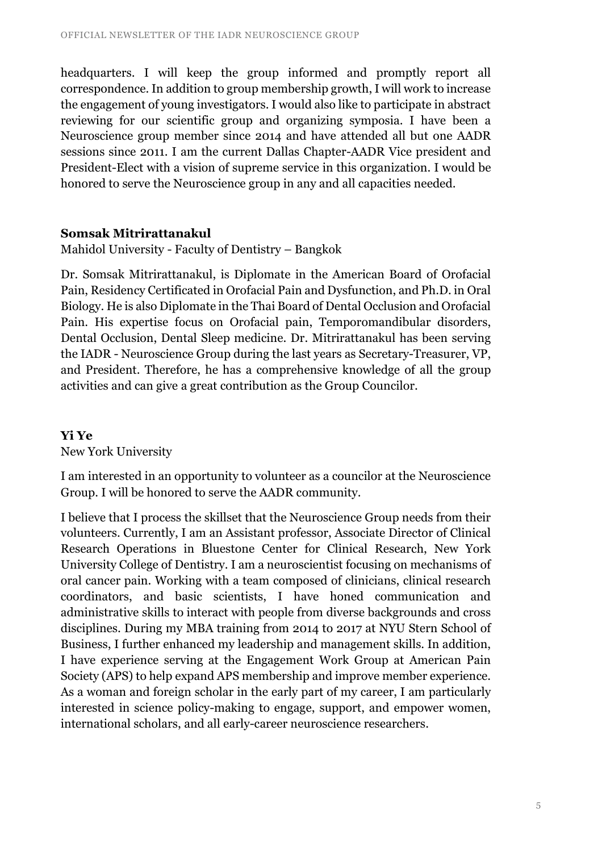headquarters. I will keep the group informed and promptly report all correspondence. In addition to group membership growth, I will work to increase the engagement of young investigators. I would also like to participate in abstract reviewing for our scientific group and organizing symposia. I have been a Neuroscience group member since 2014 and have attended all but one AADR sessions since 2011. I am the current Dallas Chapter-AADR Vice president and President-Elect with a vision of supreme service in this organization. I would be honored to serve the Neuroscience group in any and all capacities needed.

#### **Somsak Mitrirattanakul**

Mahidol University - Faculty of Dentistry – Bangkok

Dr. Somsak Mitrirattanakul, is Diplomate in the American Board of Orofacial Pain, Residency Certificated in Orofacial Pain and Dysfunction, and Ph.D. in Oral Biology. He is also Diplomate in the Thai Board of Dental Occlusion and Orofacial Pain. His expertise focus on Orofacial pain, Temporomandibular disorders, Dental Occlusion, Dental Sleep medicine. Dr. Mitrirattanakul has been serving the IADR - Neuroscience Group during the last years as Secretary-Treasurer, VP, and President. Therefore, he has a comprehensive knowledge of all the group activities and can give a great contribution as the Group Councilor.

## **Yi Ye**

New York University

I am interested in an opportunity to volunteer as a councilor at the Neuroscience Group. I will be honored to serve the AADR community.

I believe that I process the skillset that the Neuroscience Group needs from their volunteers. Currently, I am an Assistant professor, Associate Director of Clinical Research Operations in Bluestone Center for Clinical Research, New York University College of Dentistry. I am a neuroscientist focusing on mechanisms of oral cancer pain. Working with a team composed of clinicians, clinical research coordinators, and basic scientists, I have honed communication and administrative skills to interact with people from diverse backgrounds and cross disciplines. During my MBA training from 2014 to 2017 at NYU Stern School of Business, I further enhanced my leadership and management skills. In addition, I have experience serving at the Engagement Work Group at American Pain Society (APS) to help expand APS membership and improve member experience. As a woman and foreign scholar in the early part of my career, I am particularly interested in science policy-making to engage, support, and empower women, international scholars, and all early-career neuroscience researchers.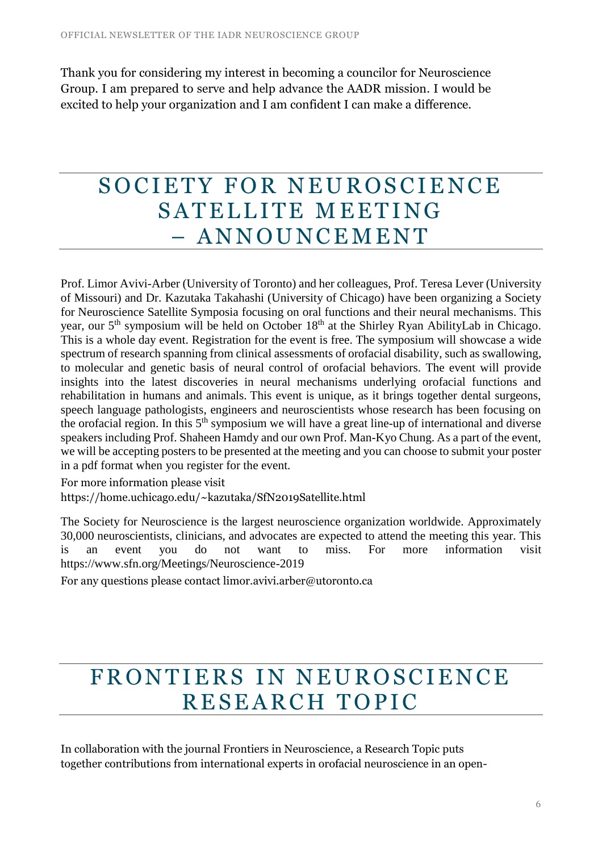Thank you for considering my interest in becoming a councilor for Neuroscience Group. I am prepared to serve and help advance the AADR mission. I would be excited to help your organization and I am confident I can make a difference.

# SOCIETY FOR NEUROSCIENCE SATELLITE MEETING – A N N O U N C E M E N T

Prof. Limor Avivi-Arber (University of Toronto) and her colleagues, Prof. Teresa Lever (University of Missouri) and Dr. Kazutaka Takahashi (University of Chicago) have been organizing a Society for Neuroscience Satellite Symposia focusing on oral functions and their neural mechanisms. This year, our 5<sup>th</sup> symposium will be held on October 18<sup>th</sup> at the Shirley Ryan AbilityLab in Chicago. This is a whole day event. Registration for the event is free. The symposium will showcase a wide spectrum of research spanning from clinical assessments of orofacial disability, such as swallowing, to molecular and genetic basis of neural control of orofacial behaviors. The event will provide insights into the latest discoveries in neural mechanisms underlying orofacial functions and rehabilitation in humans and animals. This event is unique, as it brings together dental surgeons, speech language pathologists, engineers and neuroscientists whose research has been focusing on the orofacial region. In this  $5<sup>th</sup>$  symposium we will have a great line-up of international and diverse speakers including Prof. Shaheen Hamdy and our own Prof. Man-Kyo Chung. As a part of the event, we will be accepting posters to be presented at the meeting and you can choose to submit your poster in a pdf format when you register for the event.

For more information please visit <https://home.uchicago.edu/~kazutaka/SfN2019Satellite.html>

The Society for Neuroscience is the largest neuroscience organization worldwide. Approximately 30,000 neuroscientists, clinicians, and advocates are expected to attend the meeting this year. This is an event you do not want to miss. For more information visit <https://www.sfn.org/Meetings/Neuroscience-2019>

For any questions please contact limor.avivi.arber@utoronto.ca

# FRONTIERS IN NEUROSCIENCE RESEARCH TOPIC

In collaboration with the journal Frontiers in Neuroscience, a Research Topic puts together contributions from international experts in orofacial neuroscience in an open-